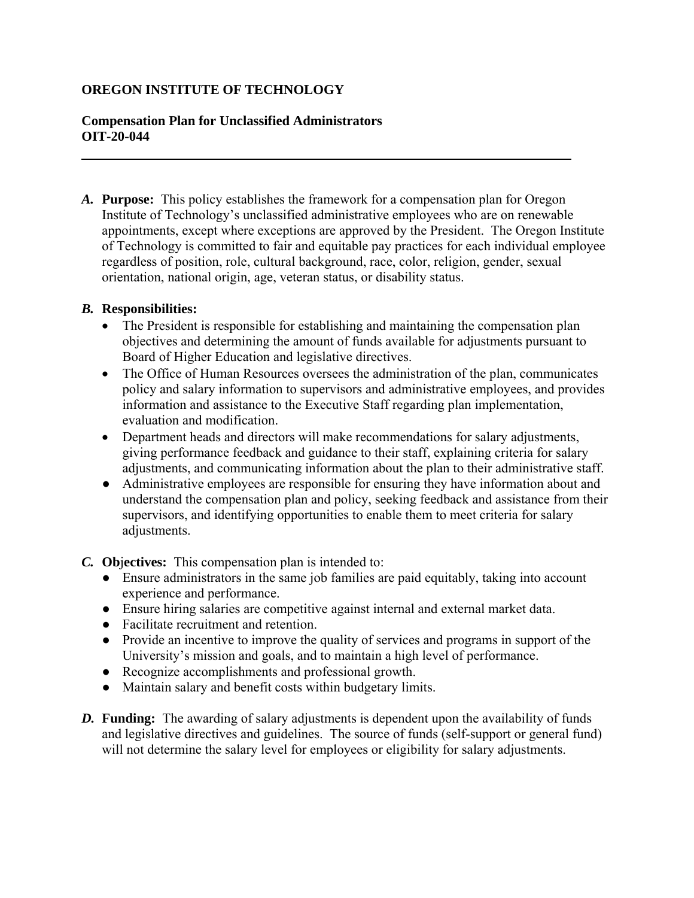## **OREGON INSTITUTE OF TECHNOLOGY**

## **Compensation Plan for Unclassified Administrators OIT-20-044**

*A.* **Purpose:** This policy establishes the framework for a compensation plan for Oregon Institute of Technology's unclassified administrative employees who are on renewable appointments, except where exceptions are approved by the President. The Oregon Institute of Technology is committed to fair and equitable pay practices for each individual employee regardless of position, role, cultural background, race, color, religion, gender, sexual orientation, national origin, age, veteran status, or disability status.

## *B.* **Responsibilities:**

- The President is responsible for establishing and maintaining the compensation plan objectives and determining the amount of funds available for adjustments pursuant to Board of Higher Education and legislative directives.
- The Office of Human Resources oversees the administration of the plan, communicates policy and salary information to supervisors and administrative employees, and provides information and assistance to the Executive Staff regarding plan implementation, evaluation and modification.
- Department heads and directors will make recommendations for salary adjustments, giving performance feedback and guidance to their staff, explaining criteria for salary adjustments, and communicating information about the plan to their administrative staff.
- Administrative employees are responsible for ensuring they have information about and understand the compensation plan and policy, seeking feedback and assistance from their supervisors, and identifying opportunities to enable them to meet criteria for salary adjustments.
- *C.* **Ob**j**ectives:** This compensation plan is intended to:
	- Ensure administrators in the same job families are paid equitably, taking into account experience and performance.
	- Ensure hiring salaries are competitive against internal and external market data.
	- Facilitate recruitment and retention.
	- Provide an incentive to improve the quality of services and programs in support of the University's mission and goals, and to maintain a high level of performance.
	- Recognize accomplishments and professional growth.
	- Maintain salary and benefit costs within budgetary limits.
- *D.* **Funding:** The awarding of salary adjustments is dependent upon the availability of funds and legislative directives and guidelines. The source of funds (self-support or general fund) will not determine the salary level for employees or eligibility for salary adjustments.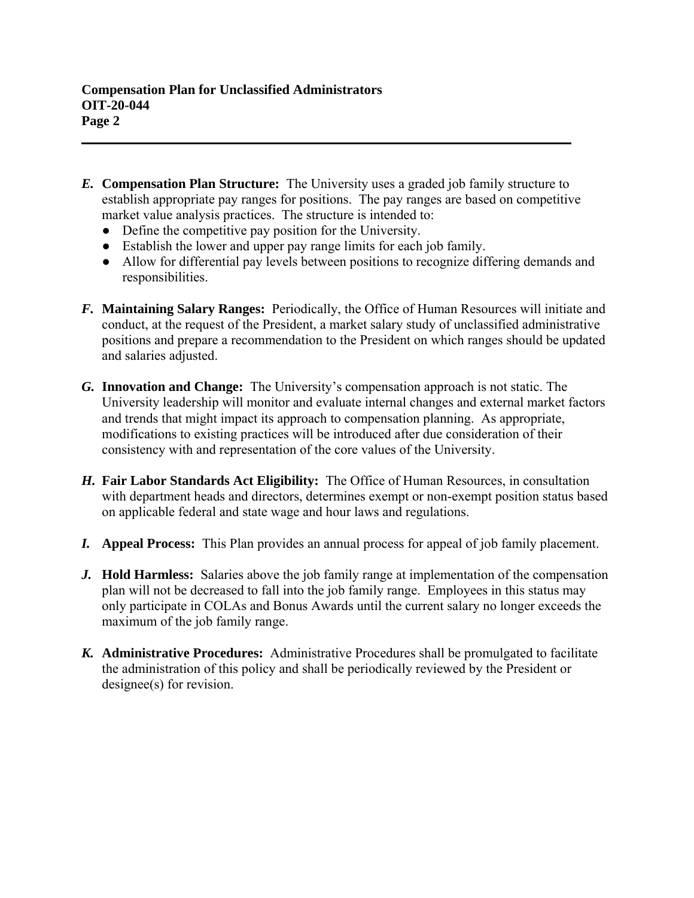- *E.* **Compensation Plan Structure:** The University uses a graded job family structure to establish appropriate pay ranges for positions. The pay ranges are based on competitive market value analysis practices. The structure is intended to:
	- Define the competitive pay position for the University.
	- Establish the lower and upper pay range limits for each job family.
	- Allow for differential pay levels between positions to recognize differing demands and responsibilities.
- *F.* **Maintaining Salary Ranges:** Periodically, the Office of Human Resources will initiate and conduct, at the request of the President, a market salary study of unclassified administrative positions and prepare a recommendation to the President on which ranges should be updated and salaries adjusted.
- *G.* **Innovation and Change:** The University's compensation approach is not static. The University leadership will monitor and evaluate internal changes and external market factors and trends that might impact its approach to compensation planning. As appropriate, modifications to existing practices will be introduced after due consideration of their consistency with and representation of the core values of the University.
- *H.* **Fair Labor Standards Act Eligibility:** The Office of Human Resources, in consultation with department heads and directors, determines exempt or non-exempt position status based on applicable federal and state wage and hour laws and regulations.
- *I.* **Appeal Process:** This Plan provides an annual process for appeal of job family placement.
- *J.* **Hold Harmless:** Salaries above the job family range at implementation of the compensation plan will not be decreased to fall into the job family range. Employees in this status may only participate in COLAs and Bonus Awards until the current salary no longer exceeds the maximum of the job family range.
- *K.* **Administrative Procedures:** Administrative Procedures shall be promulgated to facilitate the administration of this policy and shall be periodically reviewed by the President or designee(s) for revision.